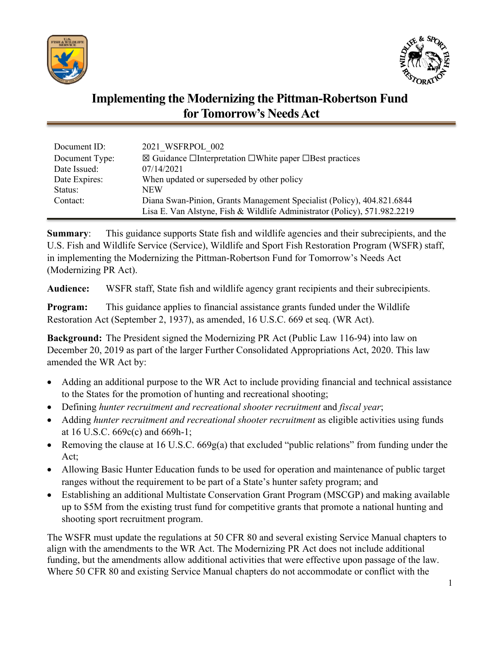



# **Implementing the Modernizing the Pittman-Robertson Fund for Tomorrow's Needs Act**

| Document ID:   | 2021 WSFRPOL 002                                                                    |
|----------------|-------------------------------------------------------------------------------------|
| Document Type: | $\boxtimes$ Guidance $\Box$ Interpretation $\Box$ White paper $\Box$ Best practices |
| Date Issued:   | 07/14/2021                                                                          |
| Date Expires:  | When updated or superseded by other policy                                          |
| Status:        | NEW                                                                                 |
| Contact:       | Diana Swan-Pinion, Grants Management Specialist (Policy), 404.821.6844              |
|                | Lisa E. Van Alstyne, Fish & Wildlife Administrator (Policy), 571.982.2219           |

**Summary:** This guidance supports State fish and wildlife agencies and their subrecipients, and the U.S. Fish and Wildlife Service (Service), Wildlife and Sport Fish Restoration Program (WSFR) staff, in implementing the Modernizing the Pittman-Robertson Fund for Tomorrow's Needs Act (Modernizing PR Act).

**Audience:** WSFR staff, State fish and wildlife agency grant recipients and their subrecipients.

**Program:** This guidance applies to financial assistance grants funded under the Wildlife Restoration Act (September 2, 1937), as amended, 16 U.S.C. 669 et seq. (WR Act).

 amended the WR Act by: **Background:** The President signed the Modernizing PR Act (Public Law 116-94) into law on December 20, 2019 as part of the larger Further Consolidated Appropriations Act, 2020. This law

- Adding an additional purpose to the WR Act to include providing financial and technical assistance to the States for the promotion of hunting and recreational shooting;
- Defining *hunter recruitment and recreational shooter recruitment* and *fiscal year*;
- Adding *hunter recruitment and recreational shooter recruitment* as eligible activities using funds at 16 U.S.C. 669c(c) and 669h-1;
- Removing the clause at 16 U.S.C. 669g(a) that excluded "public relations" from funding under the Act;
- Allowing Basic Hunter Education funds to be used for operation and maintenance of public target ranges without the requirement to be part of a State's hunter safety program; and
- Establishing an additional Multistate Conservation Grant Program (MSCGP) and making available up to \$5M from the existing trust fund for competitive grants that promote a national hunting and shooting sport recruitment program.

The WSFR must update the regulations at 50 CFR 80 and several existing Service Manual chapters to align with the amendments to the WR Act. The Modernizing PR Act does not include additional funding, but the amendments allow additional activities that were effective upon passage of the law. Where 50 CFR 80 and existing Service Manual chapters do not accommodate or conflict with the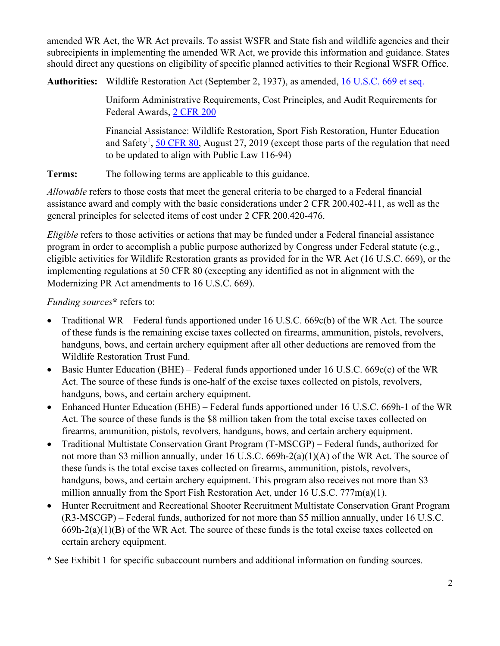amended WR Act, the WR Act prevails. To assist WSFR and State fish and wildlife agencies and their subrecipients in implementing the amended WR Act, we provide this information and guidance. States should direct any questions on eligibility of specific planned activities to their Regional WSFR Office.

**Authorities:** Wildlife Restoration Act (September 2, 1937), as amended, [16 U.S.C. 669 et seq.](https://uscode.house.gov/view.xhtml?path=/prelim@title16/chapter5B&edition=prelim) 

Uniform Administrative Requirements, Cost Principles, and Audit Requirements for Federal Awards, [2 CFR 200](https://www.ecfr.gov/cgi-bin/text-idx?SID=5ee4039756240f257289642ad4b52059&mc=true&node=pt2.1.200&rgn=div5) 

Financial Assistance: Wildlife Restoration, Sport Fish Restoration, Hunter Education and Safety<sup>1</sup>, [50 CFR 80,](https://www.ecfr.gov/cgi-bin/text-idx?SID=0e9b8b23df06164095eb68d8a840316d&mc=true&node=pt50.9.80&rgn=div5) August 27, 2019 (except those parts of the regulation that need to be updated to align with Public Law 116-94)

**Terms:** The following terms are applicable to this guidance.

*Allowable* refers to those costs that meet the general criteria to be charged to a Federal financial assistance award and comply with the basic considerations under 2 CFR 200.402-411, as well as the general principles for selected items of cost under 2 CFR 200.420-476.

*Eligible* refers to those activities or actions that may be funded under a Federal financial assistance program in order to accomplish a public purpose authorized by Congress under Federal statute (e.g., eligible activities for Wildlife Restoration grants as provided for in the WR Act (16 U.S.C. 669), or the implementing regulations at 50 CFR 80 (excepting any identified as not in alignment with the Modernizing PR Act amendments to 16 U.S.C. 669).

*Funding sources***\*** refers to:

- Traditional WR Federal funds apportioned under 16 U.S.C. 669c(b) of the WR Act. The source of these funds is the remaining excise taxes collected on firearms, ammunition, pistols, revolvers, handguns, bows, and certain archery equipment after all other deductions are removed from the Wildlife Restoration Trust Fund.
- Basic Hunter Education (BHE) Federal funds apportioned under 16 U.S.C. 669c(c) of the WR Act. The source of these funds is one-half of the excise taxes collected on pistols, revolvers, handguns, bows, and certain archery equipment.
- Enhanced Hunter Education (EHE) Federal funds apportioned under 16 U.S.C. 669h-1 of the WR Act. The source of these funds is the \$8 million taken from the total excise taxes collected on firearms, ammunition, pistols, revolvers, handguns, bows, and certain archery equipment.
- Traditional Multistate Conservation Grant Program (T-MSCGP) Federal funds, authorized for not more than \$3 million annually, under 16 U.S.C. 669h-2(a)(1)(A) of the WR Act. The source of these funds is the total excise taxes collected on firearms, ammunition, pistols, revolvers, handguns, bows, and certain archery equipment. This program also receives not more than \$3 million annually from the Sport Fish Restoration Act, under 16 U.S.C. 777m(a)(1).
- Hunter Recruitment and Recreational Shooter Recruitment Multistate Conservation Grant Program (R3-MSCGP) – Federal funds, authorized for not more than \$5 million annually, under 16 U.S.C.  $669h-2(a)(1)(B)$  of the WR Act. The source of these funds is the total excise taxes collected on certain archery equipment.

**\*** See Exhibit 1 for specific subaccount numbers and additional information on funding sources.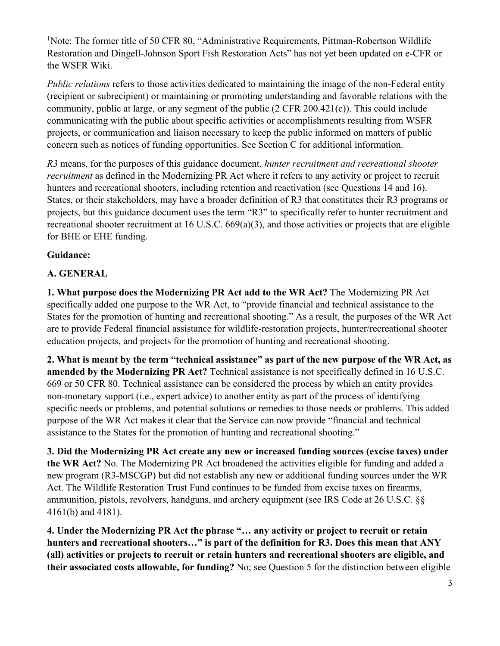<sup>1</sup>Note: The former title of 50 CFR 80, "Administrative Requirements, Pittman-Robertson Wildlife Restoration and Dingell-Johnson Sport Fish Restoration Acts" has not yet been updated on e-CFR or the WSFR Wiki.

*Public relations* refers to those activities dedicated to maintaining the image of the non-Federal entity (recipient or subrecipient) or maintaining or promoting understanding and favorable relations with the community, public at large, or any segment of the public (2 CFR 200.421(c)). This could include communicating with the public about specific activities or accomplishments resulting from WSFR projects, or communication and liaison necessary to keep the public informed on matters of public concern such as notices of funding opportunities. See Section C for additional information.

*R3* means, for the purposes of this guidance document, *hunter recruitment and recreational shooter recruitment* as defined in the Modernizing PR Act where it refers to any activity or project to recruit hunters and recreational shooters, including retention and reactivation (see Questions 14 and 16). States, or their stakeholders, may have a broader definition of R3 that constitutes their R3 programs or projects, but this guidance document uses the term "R3" to specifically refer to hunter recruitment and recreational shooter recruitment at 16 U.S.C. 669(a)(3), and those activities or projects that are eligible for BHE or EHE funding.

### **Guidance:**

### **A. GENERAL**

**1. What purpose does the Modernizing PR Act add to the WR Act?** The Modernizing PR Act specifically added one purpose to the WR Act, to "provide financial and technical assistance to the States for the promotion of hunting and recreational shooting." As a result, the purposes of the WR Act are to provide Federal financial assistance for wildlife-restoration projects, hunter/recreational shooter education projects, and projects for the promotion of hunting and recreational shooting.

**2. What is meant by the term "technical assistance" as part of the new purpose of the WR Act, as amended by the Modernizing PR Act?** Technical assistance is not specifically defined in 16 U.S.C. 669 or 50 CFR 80. Technical assistance can be considered the process by which an entity provides non-monetary support (i.e., expert advice) to another entity as part of the process of identifying specific needs or problems, and potential solutions or remedies to those needs or problems. This added purpose of the WR Act makes it clear that the Service can now provide "financial and technical assistance to the States for the promotion of hunting and recreational shooting."

**3. Did the Modernizing PR Act create any new or increased funding sources (excise taxes) under the WR Act?** No. The Modernizing PR Act broadened the activities eligible for funding and added a new program (R3-MSCGP) but did not establish any new or additional funding sources under the WR Act. The Wildlife Restoration Trust Fund continues to be funded from excise taxes on firearms, ammunition, pistols, revolvers, handguns, and archery equipment (see IRS Code at 26 U.S.C. §§ 4161(b) and 4181).

**4. Under the Modernizing PR Act the phrase "… any activity or project to recruit or retain hunters and recreational shooters…" is part of the definition for R3. Does this mean that ANY (all) activities or projects to recruit or retain hunters and recreational shooters are eligible, and their associated costs allowable, for funding?** No; see Question 5 for the distinction between eligible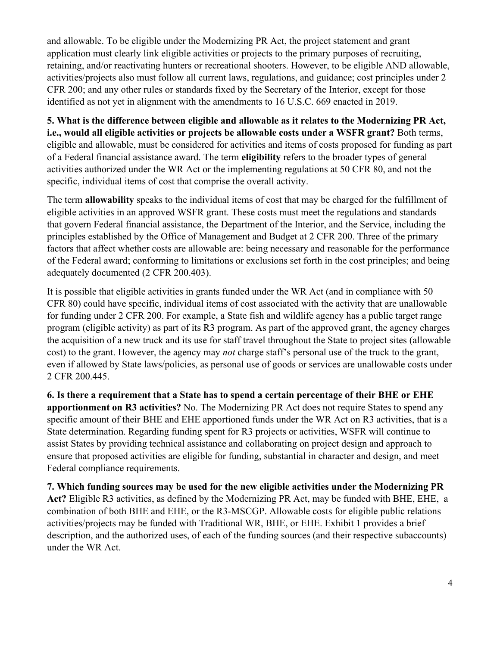and allowable. To be eligible under the Modernizing PR Act, the project statement and grant application must clearly link eligible activities or projects to the primary purposes of recruiting, retaining, and/or reactivating hunters or recreational shooters. However, to be eligible AND allowable, activities/projects also must follow all current laws, regulations, and guidance; cost principles under 2 CFR 200; and any other rules or standards fixed by the Secretary of the Interior, except for those identified as not yet in alignment with the amendments to 16 U.S.C. 669 enacted in 2019.

**5. What is the difference between eligible and allowable as it relates to the Modernizing PR Act, i.e., would all eligible activities or projects be allowable costs under a WSFR grant?** Both terms, eligible and allowable, must be considered for activities and items of costs proposed for funding as part of a Federal financial assistance award. The term **eligibility** refers to the broader types of general activities authorized under the WR Act or the implementing regulations at 50 CFR 80, and not the specific, individual items of cost that comprise the overall activity.

The term **allowability** speaks to the individual items of cost that may be charged for the fulfillment of eligible activities in an approved WSFR grant. These costs must meet the regulations and standards that govern Federal financial assistance, the Department of the Interior, and the Service, including the principles established by the Office of Management and Budget at 2 CFR 200. Three of the primary factors that affect whether costs are allowable are: being necessary and reasonable for the performance of the Federal award; conforming to limitations or exclusions set forth in the cost principles; and being adequately documented (2 CFR 200.403).

It is possible that eligible activities in grants funded under the WR Act (and in compliance with 50 CFR 80) could have specific, individual items of cost associated with the activity that are unallowable for funding under 2 CFR 200. For example, a State fish and wildlife agency has a public target range program (eligible activity) as part of its R3 program. As part of the approved grant, the agency charges the acquisition of a new truck and its use for staff travel throughout the State to project sites (allowable cost) to the grant. However, the agency may *not* charge staff's personal use of the truck to the grant, even if allowed by State laws/policies, as personal use of goods or services are unallowable costs under 2 CFR 200.445.

**6. Is there a requirement that a State has to spend a certain percentage of their BHE or EHE apportionment on R3 activities?** No. The Modernizing PR Act does not require States to spend any specific amount of their BHE and EHE apportioned funds under the WR Act on R3 activities, that is a State determination. Regarding funding spent for R3 projects or activities, WSFR will continue to assist States by providing technical assistance and collaborating on project design and approach to ensure that proposed activities are eligible for funding, substantial in character and design, and meet Federal compliance requirements.

**7. Which funding sources may be used for the new eligible activities under the Modernizing PR Act?** Eligible R3 activities, as defined by the Modernizing PR Act, may be funded with BHE, EHE, a combination of both BHE and EHE, or the R3-MSCGP. Allowable costs for eligible public relations activities/projects may be funded with Traditional WR, BHE, or EHE. Exhibit 1 provides a brief description, and the authorized uses, of each of the funding sources (and their respective subaccounts) under the WR Act.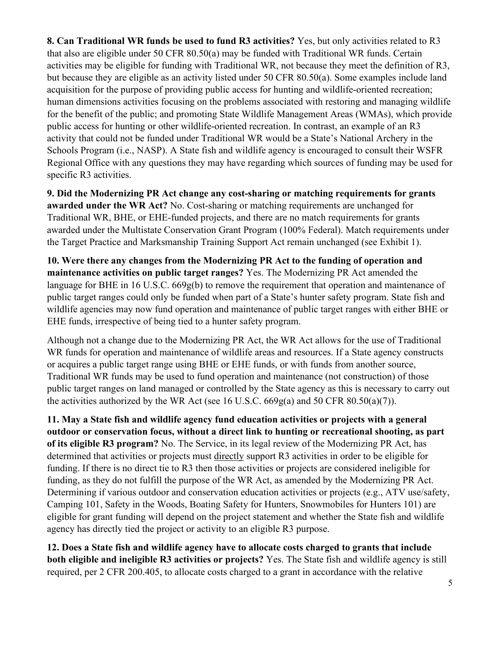**8. Can Traditional WR funds be used to fund R3 activities?** Yes, but only activities related to R3 that also are eligible under 50 CFR 80.50(a) may be funded with Traditional WR funds. Certain activities may be eligible for funding with Traditional WR, not because they meet the definition of R3, but because they are eligible as an activity listed under 50 CFR 80.50(a). Some examples include land acquisition for the purpose of providing public access for hunting and wildlife-oriented recreation; human dimensions activities focusing on the problems associated with restoring and managing wildlife for the benefit of the public; and promoting State Wildlife Management Areas (WMAs), which provide public access for hunting or other wildlife-oriented recreation. In contrast, an example of an R3 activity that could not be funded under Traditional WR would be a State's National Archery in the Schools Program (i.e., NASP). A State fish and wildlife agency is encouraged to consult their WSFR Regional Office with any questions they may have regarding which sources of funding may be used for specific R3 activities.

**9. Did the Modernizing PR Act change any cost-sharing or matching requirements for grants awarded under the WR Act?** No. Cost-sharing or matching requirements are unchanged for Traditional WR, BHE, or EHE-funded projects, and there are no match requirements for grants awarded under the Multistate Conservation Grant Program (100% Federal). Match requirements under the Target Practice and Marksmanship Training Support Act remain unchanged (see Exhibit 1).

**10. Were there any changes from the Modernizing PR Act to the funding of operation and maintenance activities on public target ranges?** Yes. The Modernizing PR Act amended the language for BHE in 16 U.S.C. 669g(b) to remove the requirement that operation and maintenance of public target ranges could only be funded when part of a State's hunter safety program. State fish and wildlife agencies may now fund operation and maintenance of public target ranges with either BHE or EHE funds, irrespective of being tied to a hunter safety program.

Although not a change due to the Modernizing PR Act, the WR Act allows for the use of Traditional WR funds for operation and maintenance of wildlife areas and resources. If a State agency constructs or acquires a public target range using BHE or EHE funds, or with funds from another source, Traditional WR funds may be used to fund operation and maintenance (not construction) of those public target ranges on land managed or controlled by the State agency as this is necessary to carry out the activities authorized by the WR Act (see 16 U.S.C. 669g(a) and 50 CFR 80.50(a)(7)).

**11. May a State fish and wildlife agency fund education activities or projects with a general outdoor or conservation focus, without a direct link to hunting or recreational shooting, as part of its eligible R3 program?** No. The Service, in its legal review of the Modernizing PR Act, has determined that activities or projects must directly support R3 activities in order to be eligible for funding. If there is no direct tie to R3 then those activities or projects are considered ineligible for funding, as they do not fulfill the purpose of the WR Act, as amended by the Modernizing PR Act. Determining if various outdoor and conservation education activities or projects (e.g., ATV use/safety, Camping 101, Safety in the Woods, Boating Safety for Hunters, Snowmobiles for Hunters 101) are eligible for grant funding will depend on the project statement and whether the State fish and wildlife agency has directly tied the project or activity to an eligible R3 purpose.

**12. Does a State fish and wildlife agency have to allocate costs charged to grants that include both eligible and ineligible R3 activities or projects?** Yes. The State fish and wildlife agency is still required, per 2 CFR 200.405, to allocate costs charged to a grant in accordance with the relative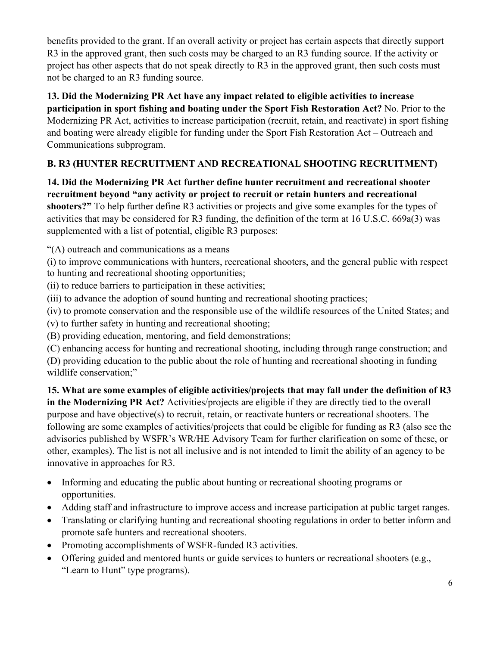benefits provided to the grant. If an overall activity or project has certain aspects that directly support R3 in the approved grant, then such costs may be charged to an R3 funding source. If the activity or project has other aspects that do not speak directly to R3 in the approved grant, then such costs must not be charged to an R3 funding source.

**13. Did the Modernizing PR Act have any impact related to eligible activities to increase participation in sport fishing and boating under the Sport Fish Restoration Act?** No. Prior to the Modernizing PR Act, activities to increase participation (recruit, retain, and reactivate) in sport fishing and boating were already eligible for funding under the Sport Fish Restoration Act – Outreach and Communications subprogram.

# **B. R3 (HUNTER RECRUITMENT AND RECREATIONAL SHOOTING RECRUITMENT)**

**14. Did the Modernizing PR Act further define hunter recruitment and recreational shooter recruitment beyond "any activity or project to recruit or retain hunters and recreational shooters?"** To help further define R3 activities or projects and give some examples for the types of activities that may be considered for R3 funding, the definition of the term at 16 U.S.C. 669a(3) was supplemented with a list of potential, eligible R3 purposes:

"(A) outreach and communications as a means—

(i) to improve communications with hunters, recreational shooters, and the general public with respect to hunting and recreational shooting opportunities;

(ii) to reduce barriers to participation in these activities;

(iii) to advance the adoption of sound hunting and recreational shooting practices;

(iv) to promote conservation and the responsible use of the wildlife resources of the United States; and

(v) to further safety in hunting and recreational shooting;

(B) providing education, mentoring, and field demonstrations;

(C) enhancing access for hunting and recreational shooting, including through range construction; and

(D) providing education to the public about the role of hunting and recreational shooting in funding wildlife conservation;"

**15. What are some examples of eligible activities/projects that may fall under the definition of R3 in the Modernizing PR Act?** Activities/projects are eligible if they are directly tied to the overall purpose and have objective(s) to recruit, retain, or reactivate hunters or recreational shooters. The following are some examples of activities/projects that could be eligible for funding as R3 (also see the [advisories](https://fawiki.fws.gov/pages/viewpage.action?pageId=117669889) published by WSFR's WR/HE Advisory Team for further clarification on some of these, or other, examples). The list is not all inclusive and is not intended to limit the ability of an agency to be innovative in approaches for R3.

- Informing and educating the public about hunting or recreational shooting programs or opportunities.
- Adding staff and infrastructure to improve access and increase participation at public target ranges.
- Translating or clarifying hunting and recreational shooting regulations in order to better inform and promote safe hunters and recreational shooters.
- Promoting accomplishments of WSFR-funded R3 activities.
- Offering guided and mentored hunts or guide services to hunters or recreational shooters (e.g., "Learn to Hunt" type programs).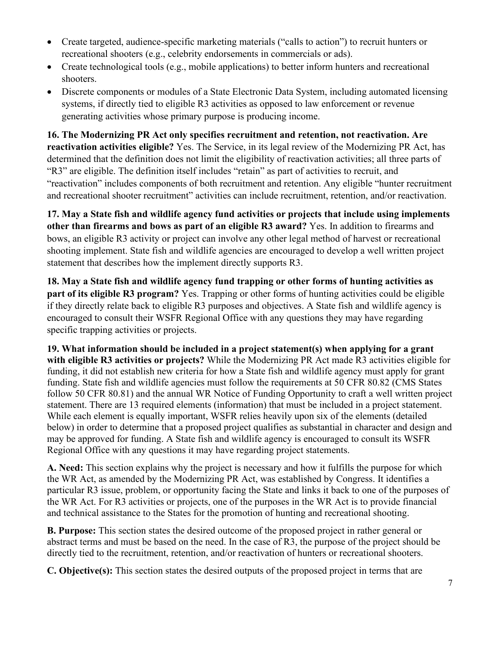- Create targeted, audience-specific marketing materials ("calls to action") to recruit hunters or recreational shooters (e.g., celebrity endorsements in commercials or ads).
- Create technological tools (e.g., mobile applications) to better inform hunters and recreational shooters.
- Discrete components or modules of a State Electronic Data System, including automated licensing systems, if directly tied to eligible R3 activities as opposed to law enforcement or revenue generating activities whose primary purpose is producing income.

**16. The Modernizing PR Act only specifies recruitment and retention, not reactivation. Are reactivation activities eligible?** Yes. The Service, in its legal review of the Modernizing PR Act, has determined that the definition does not limit the eligibility of reactivation activities; all three parts of "R3" are eligible. The definition itself includes "retain" as part of activities to recruit, and "reactivation" includes components of both recruitment and retention. Any eligible "hunter recruitment and recreational shooter recruitment" activities can include recruitment, retention, and/or reactivation.

**17. May a State fish and wildlife agency fund activities or projects that include using implements other than firearms and bows as part of an eligible R3 award?** Yes. In addition to firearms and bows, an eligible R3 activity or project can involve any other legal method of harvest or recreational shooting implement. State fish and wildlife agencies are encouraged to develop a well written project statement that describes how the implement directly supports R3.

**18. May a State fish and wildlife agency fund trapping or other forms of hunting activities as part of its eligible R3 program?** Yes. Trapping or other forms of hunting activities could be eligible if they directly relate back to eligible R3 purposes and objectives. A State fish and wildlife agency is encouraged to consult their WSFR Regional Office with any questions they may have regarding specific trapping activities or projects.

**19. What information should be included in a project statement(s) when applying for a grant with eligible R3 activities or projects?** While the Modernizing PR Act made R3 activities eligible for funding, it did not establish new criteria for how a State fish and wildlife agency must apply for grant funding. State fish and wildlife agencies must follow the requirements at 50 CFR 80.82 (CMS States follow 50 CFR 80.81) and the annual WR Notice of Funding Opportunity to craft a well written project statement. There are 13 required elements (information) that must be included in a project statement. While each element is equally important, WSFR relies heavily upon six of the elements (detailed below) in order to determine that a proposed project qualifies as substantial in character and design and may be approved for funding. A State fish and wildlife agency is encouraged to consult its WSFR Regional Office with any questions it may have regarding project statements.

**A. Need:** This section explains why the project is necessary and how it fulfills the purpose for which the WR Act, as amended by the Modernizing PR Act, was established by Congress. It identifies a particular R3 issue, problem, or opportunity facing the State and links it back to one of the purposes of the WR Act. For R3 activities or projects, one of the purposes in the WR Act is to provide financial and technical assistance to the States for the promotion of hunting and recreational shooting.

**B. Purpose:** This section states the desired outcome of the proposed project in rather general or abstract terms and must be based on the need. In the case of R3, the purpose of the project should be directly tied to the recruitment, retention, and/or reactivation of hunters or recreational shooters.

**C. Objective(s):** This section states the desired outputs of the proposed project in terms that are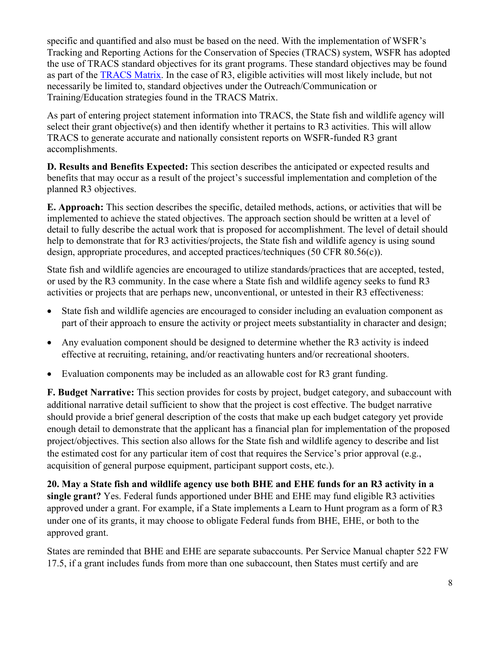specific and quantified and also must be based on the need. With the implementation of WSFR's Tracking and Reporting Actions for the Conservation of Species (TRACS) system, WSFR has adopted the use of TRACS standard objectives for its grant programs. These standard objectives may be found as part of the [TRACS Matrix.](https://wsfrtraining.fws.gov/mod/page/view.php?id=216&forceview=1) In the case of R3, eligible activities will most likely include, but not necessarily be limited to, standard objectives under the Outreach/Communication or Training/Education strategies found in the TRACS Matrix.

As part of entering project statement information into TRACS, the State fish and wildlife agency will select their grant objective(s) and then identify whether it pertains to R3 activities. This will allow TRACS to generate accurate and nationally consistent reports on WSFR-funded R3 grant accomplishments.

**D. Results and Benefits Expected:** This section describes the anticipated or expected results and benefits that may occur as a result of the project's successful implementation and completion of the planned R3 objectives.

**E. Approach:** This section describes the specific, detailed methods, actions, or activities that will be implemented to achieve the stated objectives. The approach section should be written at a level of detail to fully describe the actual work that is proposed for accomplishment. The level of detail should help to demonstrate that for R3 activities/projects, the State fish and wildlife agency is using sound design, appropriate procedures, and accepted practices/techniques (50 CFR 80.56(c)).

State fish and wildlife agencies are encouraged to utilize standards/practices that are accepted, tested, or used by the R3 community. In the case where a State fish and wildlife agency seeks to fund R3 activities or projects that are perhaps new, unconventional, or untested in their R3 effectiveness:

- State fish and wildlife agencies are encouraged to consider including an evaluation component as part of their approach to ensure the activity or project meets substantiality in character and design;
- Any evaluation component should be designed to determine whether the R3 activity is indeed effective at recruiting, retaining, and/or reactivating hunters and/or recreational shooters.
- Evaluation components may be included as an allowable cost for R3 grant funding.

**F. Budget Narrative:** This section provides for costs by project, budget category, and subaccount with additional narrative detail sufficient to show that the project is cost effective. The budget narrative should provide a brief general description of the costs that make up each budget category yet provide enough detail to demonstrate that the applicant has a financial plan for implementation of the proposed project/objectives. This section also allows for the State fish and wildlife agency to describe and list the estimated cost for any particular item of cost that requires the Service's prior approval (e.g., acquisition of general purpose equipment, participant support costs, etc.).

**20. May a State fish and wildlife agency use both BHE and EHE funds for an R3 activity in a single grant?** Yes. Federal funds apportioned under BHE and EHE may fund eligible R3 activities approved under a grant. For example, if a State implements a Learn to Hunt program as a form of R3 under one of its grants, it may choose to obligate Federal funds from BHE, EHE, or both to the approved grant.

States are reminded that BHE and EHE are separate subaccounts. Per Service Manual chapter 522 FW 17.5, if a grant includes funds from more than one subaccount, then States must certify and are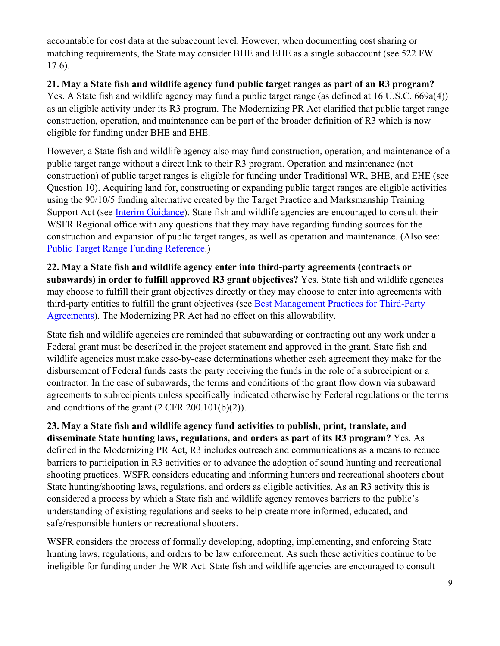accountable for cost data at the subaccount level. However, when documenting cost sharing or matching requirements, the State may consider BHE and EHE as a single subaccount (see 522 FW 17.6).

### **21. May a State fish and wildlife agency fund public target ranges as part of an R3 program?**

Yes. A State fish and wildlife agency may fund a public target range (as defined at 16 U.S.C. 669a(4)) as an eligible activity under its R3 program. The Modernizing PR Act clarified that public target range construction, operation, and maintenance can be part of the broader definition of R3 which is now eligible for funding under BHE and EHE.

However, a State fish and wildlife agency also may fund construction, operation, and maintenance of a public target range without a direct link to their R3 program. Operation and maintenance (not construction) of public target ranges is eligible for funding under Traditional WR, BHE, and EHE (see Question 10). Acquiring land for, constructing or expanding public target ranges are eligible activities using the 90/10/5 funding alternative created by the Target Practice and Marksmanship Training Support Act (see [Interim Guidance\)](https://fawiki.fws.gov/display/WTK/Director%27s+Orders-Rules-Policy-Interim+Guidance?preview=/5931146/119406618/WSFR%20Interim%20Guidance%20Implementing%20PL%20116-17.pdf). State fish and wildlife agencies are encouraged to consult their WSFR Regional office with any questions that they may have regarding funding sources for the construction and expansion of public target ranges, as well as operation and maintenance. (Also see: [Public Target Range Funding Reference.](https://fawiki.fws.gov/pages/viewpage.action?pageId=117669889&preview=/117669889/143491079/Funding%20public%20target%20ranges_20Aug2020.pdf))

**22. May a State fish and wildlife agency enter into third-party agreements (contracts or subawards) in order to fulfill approved R3 grant objectives?** Yes. State fish and wildlife agencies may choose to fulfill their grant objectives directly or they may choose to enter into agreements with third-party entities to fulfill the grant objectives (see [Best Management Practices for Third-Party](https://fawiki.fws.gov/display/WTK/Director%27s+Orders-Rules-Policy-Interim+Guidance?preview=/5931146/119406617/Signed%20Memo%20for%20Third-Party%20Agreement%20BMP%20Update.pdf)  [Agreements\)](https://fawiki.fws.gov/display/WTK/Director%27s+Orders-Rules-Policy-Interim+Guidance?preview=/5931146/119406617/Signed%20Memo%20for%20Third-Party%20Agreement%20BMP%20Update.pdf). The Modernizing PR Act had no effect on this allowability.

State fish and wildlife agencies are reminded that subawarding or contracting out any work under a Federal grant must be described in the project statement and approved in the grant. State fish and wildlife agencies must make case-by-case determinations whether each agreement they make for the disbursement of Federal funds casts the party receiving the funds in the role of a subrecipient or a contractor. In the case of subawards, the terms and conditions of the grant flow down via subaward agreements to subrecipients unless specifically indicated otherwise by Federal regulations or the terms and conditions of the grant (2 CFR 200.101(b)(2)).

**23. May a State fish and wildlife agency fund activities to publish, print, translate, and disseminate State hunting laws, regulations, and orders as part of its R3 program?** Yes. As defined in the Modernizing PR Act, R3 includes outreach and communications as a means to reduce barriers to participation in R3 activities or to advance the adoption of sound hunting and recreational shooting practices. WSFR considers educating and informing hunters and recreational shooters about State hunting/shooting laws, regulations, and orders as eligible activities. As an R3 activity this is considered a process by which a State fish and wildlife agency removes barriers to the public's understanding of existing regulations and seeks to help create more informed, educated, and safe/responsible hunters or recreational shooters.

WSFR considers the process of formally developing, adopting, implementing, and enforcing State hunting laws, regulations, and orders to be law enforcement. As such these activities continue to be ineligible for funding under the WR Act. State fish and wildlife agencies are encouraged to consult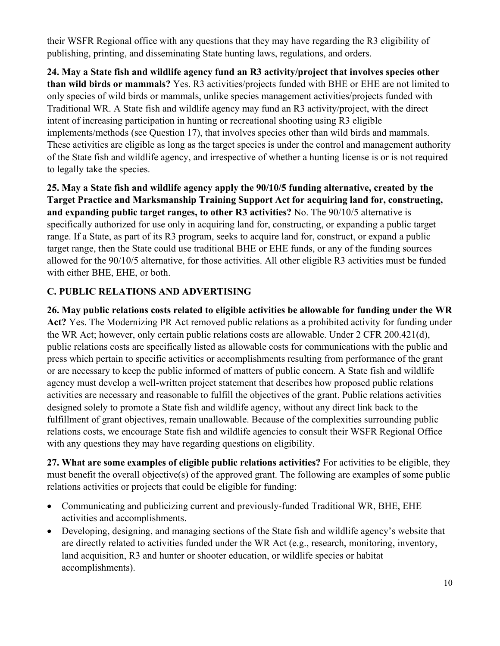their WSFR Regional office with any questions that they may have regarding the R3 eligibility of publishing, printing, and disseminating State hunting laws, regulations, and orders.

**24. May a State fish and wildlife agency fund an R3 activity/project that involves species other than wild birds or mammals?** Yes. R3 activities/projects funded with BHE or EHE are not limited to only species of wild birds or mammals, unlike species management activities/projects funded with Traditional WR. A State fish and wildlife agency may fund an R3 activity/project, with the direct intent of increasing participation in hunting or recreational shooting using R3 eligible implements/methods (see Question 17), that involves species other than wild birds and mammals. These activities are eligible as long as the target species is under the control and management authority of the State fish and wildlife agency, and irrespective of whether a hunting license is or is not required to legally take the species.

**25. May a State fish and wildlife agency apply the 90/10/5 funding alternative, created by the Target Practice and Marksmanship Training Support Act for acquiring land for, constructing, and expanding public target ranges, to other R3 activities?** No. The 90/10/5 alternative is specifically authorized for use only in acquiring land for, constructing, or expanding a public target range. If a State, as part of its R3 program, seeks to acquire land for, construct, or expand a public target range, then the State could use traditional BHE or EHE funds, or any of the funding sources allowed for the 90/10/5 alternative, for those activities. All other eligible R3 activities must be funded with either BHE, EHE, or both.

# **C. PUBLIC RELATIONS AND ADVERTISING**

**26. May public relations costs related to eligible activities be allowable for funding under the WR Act?** Yes. The Modernizing PR Act removed public relations as a prohibited activity for funding under the WR Act; however, only certain public relations costs are allowable. Under 2 CFR 200.421(d), public relations costs are specifically listed as allowable costs for communications with the public and press which pertain to specific activities or accomplishments resulting from performance of the grant or are necessary to keep the public informed of matters of public concern. A State fish and wildlife agency must develop a well-written project statement that describes how proposed public relations activities are necessary and reasonable to fulfill the objectives of the grant. Public relations activities designed solely to promote a State fish and wildlife agency, without any direct link back to the fulfillment of grant objectives, remain unallowable. Because of the complexities surrounding public relations costs, we encourage State fish and wildlife agencies to consult their WSFR Regional Office with any questions they may have regarding questions on eligibility.

**27. What are some examples of eligible public relations activities?** For activities to be eligible, they must benefit the overall objective(s) of the approved grant. The following are examples of some public relations activities or projects that could be eligible for funding:

- Communicating and publicizing current and previously-funded Traditional WR, BHE, EHE activities and accomplishments.
- Developing, designing, and managing sections of the State fish and wildlife agency's website that are directly related to activities funded under the WR Act (e.g., research, monitoring, inventory, land acquisition, R3 and hunter or shooter education, or wildlife species or habitat accomplishments).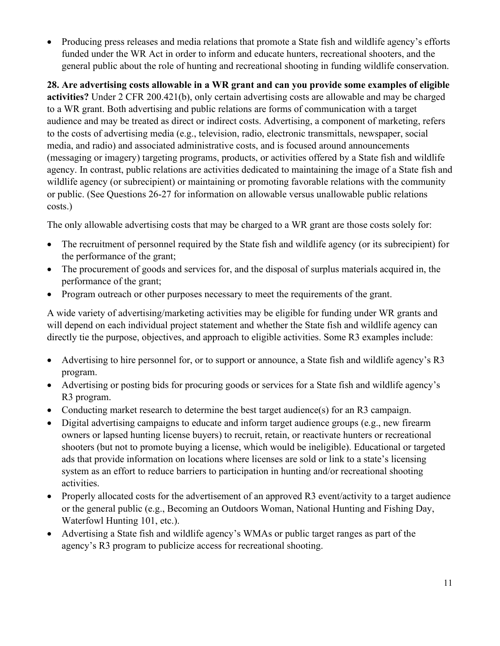• Producing press releases and media relations that promote a State fish and wildlife agency's efforts funded under the WR Act in order to inform and educate hunters, recreational shooters, and the general public about the role of hunting and recreational shooting in funding wildlife conservation.

**28. Are advertising costs allowable in a WR grant and can you provide some examples of eligible activities?** Under 2 CFR 200.421(b), only certain advertising costs are allowable and may be charged to a WR grant. Both advertising and public relations are forms of communication with a target audience and may be treated as direct or indirect costs. Advertising, a component of marketing, refers to the costs of advertising media (e.g., television, radio, electronic transmittals, newspaper, social media, and radio) and associated administrative costs, and is focused around announcements (messaging or imagery) targeting programs, products, or activities offered by a State fish and wildlife agency. In contrast, public relations are activities dedicated to maintaining the image of a State fish and wildlife agency (or subrecipient) or maintaining or promoting favorable relations with the community or public. (See Questions 26-27 for information on allowable versus unallowable public relations costs.)

The only allowable advertising costs that may be charged to a WR grant are those costs solely for:

- The recruitment of personnel required by the State fish and wildlife agency (or its subrecipient) for the performance of the grant;
- The procurement of goods and services for, and the disposal of surplus materials acquired in, the performance of the grant;
- Program outreach or other purposes necessary to meet the requirements of the grant.

A wide variety of advertising/marketing activities may be eligible for funding under WR grants and will depend on each individual project statement and whether the State fish and wildlife agency can directly tie the purpose, objectives, and approach to eligible activities. Some R3 examples include:

- Advertising to hire personnel for, or to support or announce, a State fish and wildlife agency's R3 program.
- Advertising or posting bids for procuring goods or services for a State fish and wildlife agency's R3 program.
- Conducting market research to determine the best target audience(s) for an R3 campaign.
- Digital advertising campaigns to educate and inform target audience groups (e.g., new firearm owners or lapsed hunting license buyers) to recruit, retain, or reactivate hunters or recreational shooters (but not to promote buying a license, which would be ineligible). Educational or targeted ads that provide information on locations where licenses are sold or link to a state's licensing system as an effort to reduce barriers to participation in hunting and/or recreational shooting activities.
- Properly allocated costs for the advertisement of an approved R3 event/activity to a target audience or the general public (e.g., Becoming an Outdoors Woman, National Hunting and Fishing Day, Waterfowl Hunting 101, etc.).
- Advertising a State fish and wildlife agency's WMAs or public target ranges as part of the agency's R3 program to publicize access for recreational shooting.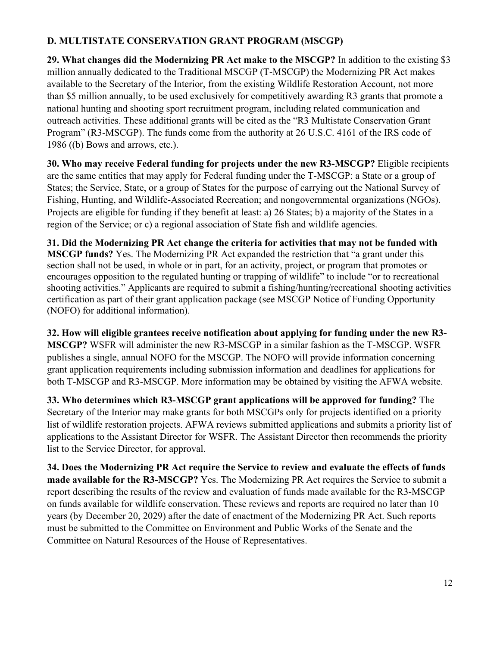### **D. MULTISTATE CONSERVATION GRANT PROGRAM (MSCGP)**

**29. What changes did the Modernizing PR Act make to the MSCGP?** In addition to the existing \$3 million annually dedicated to the Traditional MSCGP (T-MSCGP) the Modernizing PR Act makes available to the Secretary of the Interior, from the existing Wildlife Restoration Account, not more than \$5 million annually, to be used exclusively for competitively awarding R3 grants that promote a national hunting and shooting sport recruitment program, including related communication and outreach activities. These additional grants will be cited as the "R3 Multistate Conservation Grant Program" (R3-MSCGP). The funds come from the authority at 26 U.S.C. 4161 of the IRS code of 1986 ((b) Bows and arrows, etc.).

**30. Who may receive Federal funding for projects under the new R3-MSCGP?** Eligible recipients are the same entities that may apply for Federal funding under the T-MSCGP: a State or a group of States; the Service, State, or a group of States for the purpose of carrying out the National Survey of Fishing, Hunting, and Wildlife-Associated Recreation; and nongovernmental organizations (NGOs). Projects are eligible for funding if they benefit at least: a) 26 States; b) a majority of the States in a region of the Service; or c) a regional association of State fish and wildlife agencies.

**31. Did the Modernizing PR Act change the criteria for activities that may not be funded with MSCGP funds?** Yes. The Modernizing PR Act expanded the restriction that "a grant under this section shall not be used, in whole or in part, for an activity, project, or program that promotes or encourages opposition to the regulated hunting or trapping of wildlife" to include "or to recreational shooting activities." Applicants are required to submit a fishing/hunting/recreational shooting activities certification as part of their grant application package (see MSCGP Notice of Funding Opportunity (NOFO) for additional information).

**32. How will eligible grantees receive notification about applying for funding under the new R3- MSCGP?** WSFR will administer the new R3-MSCGP in a similar fashion as the T-MSCGP. WSFR publishes a single, annual NOFO for the MSCGP. The NOFO will provide information concerning grant application requirements including submission information and deadlines for applications for both T-MSCGP and R3-MSCGP. More information may be obtained by visiting the [AFWA website.](https://www.fishwildlife.org/afwa-informs/multi-state-conservation-grants-program)

**33. Who determines which R3-MSCGP grant applications will be approved for funding?** The Secretary of the Interior may make grants for both MSCGPs only for projects identified on a priority list of wildlife restoration projects. AFWA reviews submitted applications and submits a priority list of applications to the Assistant Director for WSFR. The Assistant Director then recommends the priority list to the Service Director, for approval.

**34. Does the Modernizing PR Act require the Service to review and evaluate the effects of funds made available for the R3-MSCGP?** Yes. The Modernizing PR Act requires the Service to submit a report describing the results of the review and evaluation of funds made available for the R3-MSCGP on funds available for wildlife conservation. These reviews and reports are required no later than 10 years (by December 20, 2029) after the date of enactment of the Modernizing PR Act. Such reports must be submitted to the Committee on Environment and Public Works of the Senate and the Committee on Natural Resources of the House of Representatives.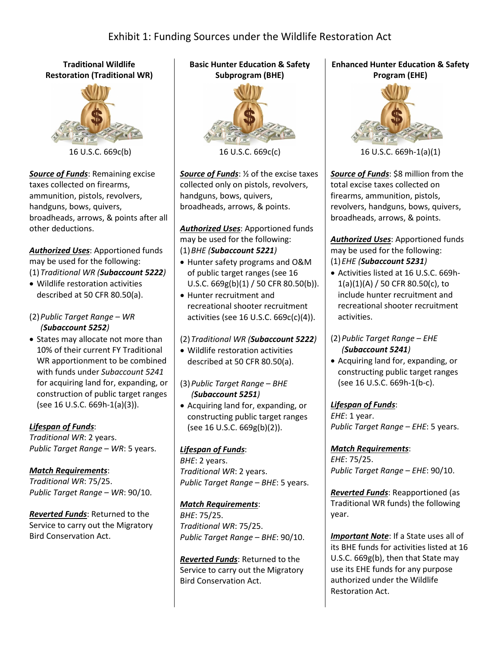#### **Traditional Wildlife Restoration (Traditional WR)**



16 U.S.C. 669c(b)

*Source of Funds*: Remaining excise taxes collected on firearms, ammunition, pistols, revolvers, handguns, bows, quivers, broadheads, arrows, & points after all other deductions.

#### *Authorized Uses*: Apportioned funds may be used for the following: (1)*Traditional WR (Subaccount 5222)*

• Wildlife restoration activities described at 50 CFR 80.50(a).

#### (2)*Public Target Range – WR (Subaccount 5252)*

• States may allocate not more than 10% of their current FY Traditional WR apportionment to be combined with funds under *Subaccount 5241* for acquiring land for, expanding, or construction of public target ranges (see 16 U.S.C. 669h-1(a)(3)).

### *Lifespan of Funds*:

*Traditional WR*: 2 years. *Public Target Range – WR*: 5 years.

### *Match Requirements*:

*Traditional WR*: 75/25. *Public Target Range – WR*: 90/10.

*Reverted Funds*: Returned to the Service to carry out the Migratory Bird Conservation Act.

### **Basic Hunter Education & Safety Subprogram (BHE)**



16 U.S.C. 669c(c)

*Source of Funds*: ½ of the excise taxes collected only on pistols, revolvers, handguns, bows, quivers, broadheads, arrows, & points.

*Authorized Uses*: Apportioned funds may be used for the following: (1)*BHE (Subaccount 5221)*

- Hunter safety programs and O&M of public target ranges (see 16 U.S.C. 669g(b)(1) / 50 CFR 80.50(b)).
- Hunter recruitment and recreational shooter recruitment activities (see 16 U.S.C. 669c(c)(4)).

### (2)*Traditional WR (Subaccount 5222)*

- Wildlife restoration activities described at 50 CFR 80.50(a).
- (3)*Public Target Range – BHE (Subaccount 5251)*
- Acquiring land for, expanding, or constructing public target ranges (see 16 U.S.C. 669g(b)(2)).

### *Lifespan of Funds*:

*BHE*: 2 years. *Traditional WR*: 2 years. *Public Target Range – BHE*: 5 years.

#### *Match Requirements*:

*BHE*: 75/25. *Traditional WR*: 75/25. *Public Target Range – BHE*: 90/10.

*Reverted Funds*: Returned to the Service to carry out the Migratory Bird Conservation Act.

### **Enhanced Hunter Education & Safety Program (EHE)**



<sup>16</sup> U.S.C. 669h-1(a)(1)

*Source of Funds*: \$8 million from the total excise taxes collected on firearms, ammunition, pistols, revolvers, handguns, bows, quivers, broadheads, arrows, & points.

*Authorized Uses*: Apportioned funds may be used for the following: (1)*EHE (Subaccount 5231)*

• Activities listed at 16 U.S.C. 669h-1(a)(1)(A) / 50 CFR 80.50(c), to include hunter recruitment and recreational shooter recruitment activities.

#### (2)*Public Target Range – EHE (Subaccount 5241)*

• Acquiring land for, expanding, or constructing public target ranges (see 16 U.S.C. 669h-1(b-c).

### *Lifespan of Funds*:

*EHE*: 1 year. *Public Target Range – EHE*: 5 years.

*Match Requirements*: *EHE*: 75/25. *Public Target Range – EHE*: 90/10.

*Reverted Funds*: Reapportioned (as Traditional WR funds) the following year.

*Important Note*: If a State uses all of its BHE funds for activities listed at 16 U.S.C. 669g(b), then that State may use its EHE funds for any purpose authorized under the Wildlife Restoration Act.